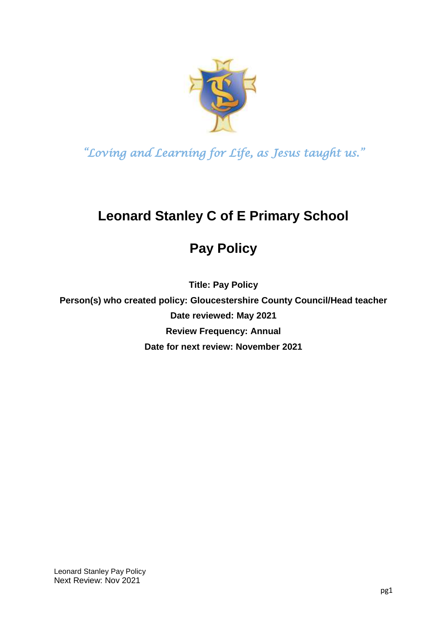

# **Leonard Stanley C of E Primary School**

# **Pay Policy**

**Title: Pay Policy**

**Person(s) who created policy: Gloucestershire County Council/Head teacher Date reviewed: May 2021 Review Frequency: Annual Date for next review: November 2021**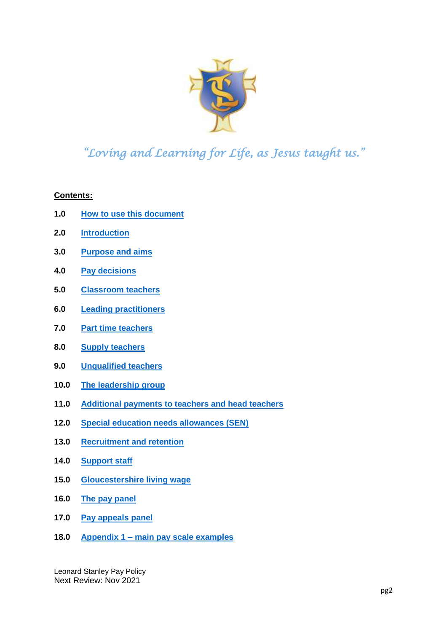

**Contents:**

- **1.0 [How to use this document](#page-2-0)**
- **2.0 [Introduction](#page-2-1)**
- **3.0 [Purpose and aims](#page-3-0)**
- **4.0 [Pay decisions](#page-3-1)**
- **5.0 [Classroom teachers](#page-4-0)**
- **6.0 [Leading practitioners](#page-11-0)**
- **7.0 [Part time teachers](#page-12-0)**
- **8.0 [Supply teachers](#page-13-0)**
- **9.0 [Unqualified teachers](#page-15-0)**
- **10.0 [The leadership group](#page-16-0)**
- **11.0 [Additional payments to teachers and head teachers](#page-19-0)**
- **12.0 [Special education needs allowances \(SEN\)](#page-21-0)**
- **13.0 [Recruitment and retention](#page-22-0)**
- **14.0 [Support staff](#page-13-0)**
- **15.0 [Gloucestershire living wage](#page-25-0)**
- **16.0 [The pay panel](#page-26-0)**
- **17.0 [Pay appeals panel](#page-28-0)**
- **18.0 Appendix 1 – [main pay scale examples](#page-31-0)**

Leonard Stanley Pay Policy Next Review: Nov 2021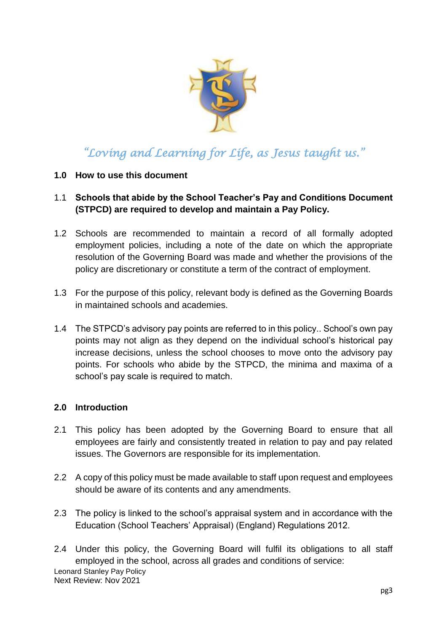

#### <span id="page-2-0"></span>**1.0 How to use this document**

- 1.1 **Schools that abide by the School Teacher's Pay and Conditions Document (STPCD) are required to develop and maintain a Pay Policy.**
- 1.2 Schools are recommended to maintain a record of all formally adopted employment policies, including a note of the date on which the appropriate resolution of the Governing Board was made and whether the provisions of the policy are discretionary or constitute a term of the contract of employment.
- 1.3 For the purpose of this policy, relevant body is defined as the Governing Boards in maintained schools and academies.
- 1.4 The STPCD's advisory pay points are referred to in this policy.. School's own pay points may not align as they depend on the individual school's historical pay increase decisions, unless the school chooses to move onto the advisory pay points. For schools who abide by the STPCD, the minima and maxima of a school's pay scale is required to match.

#### <span id="page-2-1"></span>**2.0 Introduction**

- 2.1 This policy has been adopted by the Governing Board to ensure that all employees are fairly and consistently treated in relation to pay and pay related issues. The Governors are responsible for its implementation.
- 2.2 A copy of this policy must be made available to staff upon request and employees should be aware of its contents and any amendments.
- 2.3 The policy is linked to the school's appraisal system and in accordance with the Education (School Teachers' Appraisal) (England) Regulations 2012.
- Leonard Stanley Pay Policy Next Review: Nov 2021 2.4 Under this policy, the Governing Board will fulfil its obligations to all staff employed in the school, across all grades and conditions of service: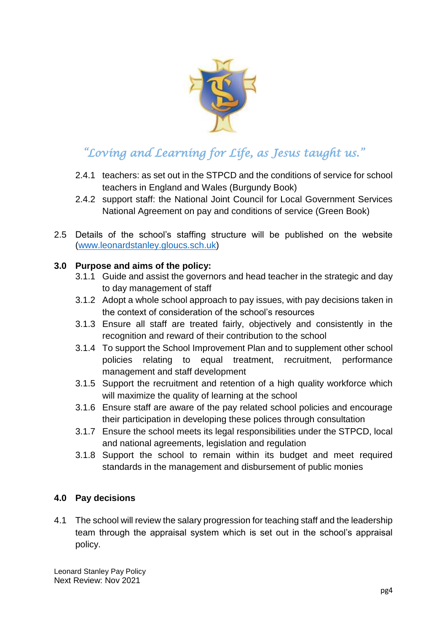

- 2.4.1 teachers: as set out in the STPCD and the conditions of service for school teachers in England and Wales (Burgundy Book)
- 2.4.2 support staff: the National Joint Council for Local Government Services National Agreement on pay and conditions of service (Green Book)
- 2.5 Details of the school's staffing structure will be published on the website [\(www.leonardstanley.gloucs.sch.uk\)](http://www.leonardstanley.gloucs.sch.uk/)

### <span id="page-3-0"></span>**3.0 Purpose and aims of the policy:**

- 3.1.1 Guide and assist the governors and head teacher in the strategic and day to day management of staff
- 3.1.2 Adopt a whole school approach to pay issues, with pay decisions taken in the context of consideration of the school's resources
- 3.1.3 Ensure all staff are treated fairly, objectively and consistently in the recognition and reward of their contribution to the school
- 3.1.4 To support the School Improvement Plan and to supplement other school policies relating to equal treatment, recruitment, performance management and staff development
- 3.1.5 Support the recruitment and retention of a high quality workforce which will maximize the quality of learning at the school
- 3.1.6 Ensure staff are aware of the pay related school policies and encourage their participation in developing these polices through consultation
- 3.1.7 Ensure the school meets its legal responsibilities under the STPCD, local and national agreements, legislation and regulation
- 3.1.8 Support the school to remain within its budget and meet required standards in the management and disbursement of public monies

#### <span id="page-3-1"></span>**4.0 Pay decisions**

4.1 The school will review the salary progression for teaching staff and the leadership team through the appraisal system which is set out in the school's appraisal policy.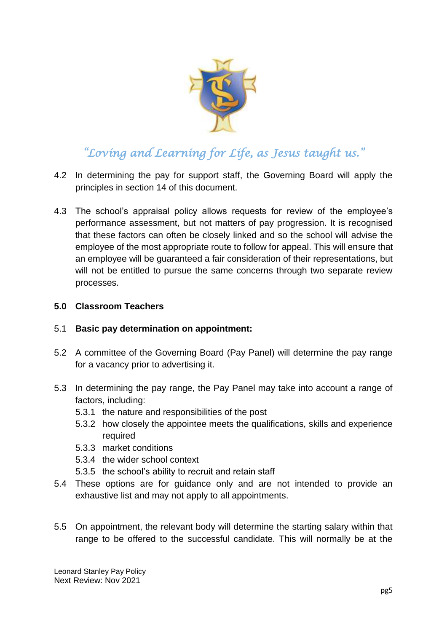

- 4.2 In determining the pay for support staff, the Governing Board will apply the principles in section 14 of this document.
- 4.3 The school's appraisal policy allows requests for review of the employee's performance assessment, but not matters of pay progression. It is recognised that these factors can often be closely linked and so the school will advise the employee of the most appropriate route to follow for appeal. This will ensure that an employee will be guaranteed a fair consideration of their representations, but will not be entitled to pursue the same concerns through two separate review processes.

#### <span id="page-4-0"></span>**5.0 Classroom Teachers**

#### 5.1 **Basic pay determination on appointment:**

- 5.2 A committee of the Governing Board (Pay Panel) will determine the pay range for a vacancy prior to advertising it.
- 5.3 In determining the pay range, the Pay Panel may take into account a range of factors, including:
	- 5.3.1 the nature and responsibilities of the post
	- 5.3.2 how closely the appointee meets the qualifications, skills and experience required
	- 5.3.3 market conditions
	- 5.3.4 the wider school context
	- 5.3.5 the school's ability to recruit and retain staff
- 5.4 These options are for guidance only and are not intended to provide an exhaustive list and may not apply to all appointments.
- 5.5 On appointment, the relevant body will determine the starting salary within that range to be offered to the successful candidate. This will normally be at the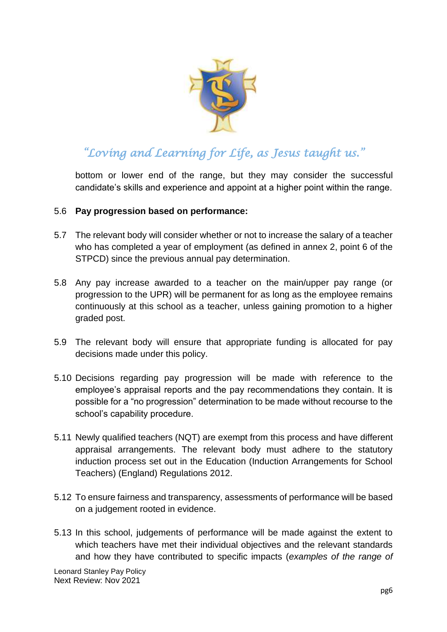

bottom or lower end of the range, but they may consider the successful candidate's skills and experience and appoint at a higher point within the range.

#### 5.6 **Pay progression based on performance:**

- 5.7 The relevant body will consider whether or not to increase the salary of a teacher who has completed a year of employment (as defined in annex 2, point 6 of the STPCD) since the previous annual pay determination.
- 5.8 Any pay increase awarded to a teacher on the main/upper pay range (or progression to the UPR) will be permanent for as long as the employee remains continuously at this school as a teacher, unless gaining promotion to a higher graded post.
- 5.9 The relevant body will ensure that appropriate funding is allocated for pay decisions made under this policy.
- 5.10 Decisions regarding pay progression will be made with reference to the employee's appraisal reports and the pay recommendations they contain. It is possible for a "no progression" determination to be made without recourse to the school's capability procedure.
- 5.11 Newly qualified teachers (NQT) are exempt from this process and have different appraisal arrangements. The relevant body must adhere to the statutory induction process set out in the Education (Induction Arrangements for School Teachers) (England) Regulations 2012.
- 5.12 To ensure fairness and transparency, assessments of performance will be based on a judgement rooted in evidence.
- 5.13 In this school, judgements of performance will be made against the extent to which teachers have met their individual objectives and the relevant standards and how they have contributed to specific impacts (*examples of the range of*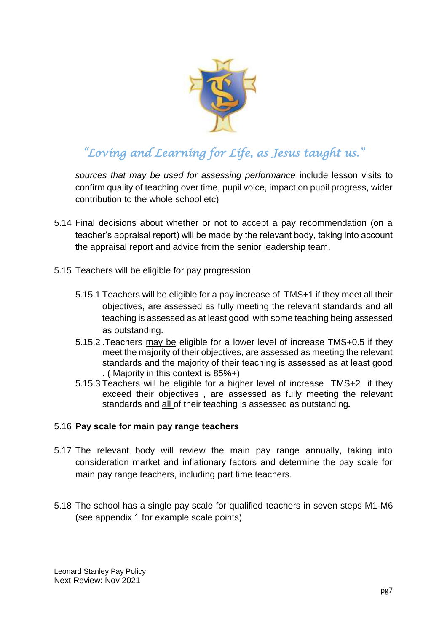

*sources that may be used for assessing performance* include lesson visits to confirm quality of teaching over time, pupil voice, impact on pupil progress, wider contribution to the whole school etc)

- 5.14 Final decisions about whether or not to accept a pay recommendation (on a teacher's appraisal report) will be made by the relevant body, taking into account the appraisal report and advice from the senior leadership team.
- 5.15 Teachers will be eligible for pay progression
	- 5.15.1 Teachers will be eligible for a pay increase of TMS+1 if they meet all their objectives, are assessed as fully meeting the relevant standards and all teaching is assessed as at least good with some teaching being assessed as outstanding.
	- 5.15.2 .Teachers may be eligible for a lower level of increase TMS+0.5 if they meet the majority of their objectives, are assessed as meeting the relevant standards and the majority of their teaching is assessed as at least good . ( Majority in this context is 85%+)
	- 5.15.3 Teachers will be eligible for a higher level of increase TMS+2 if they exceed their objectives , are assessed as fully meeting the relevant standards and all of their teaching is assessed as outstanding*.*

#### 5.16 **Pay scale for main pay range teachers**

- 5.17 The relevant body will review the main pay range annually, taking into consideration market and inflationary factors and determine the pay scale for main pay range teachers, including part time teachers.
- 5.18 The school has a single pay scale for qualified teachers in seven steps M1-M6 (see appendix 1 for example scale points)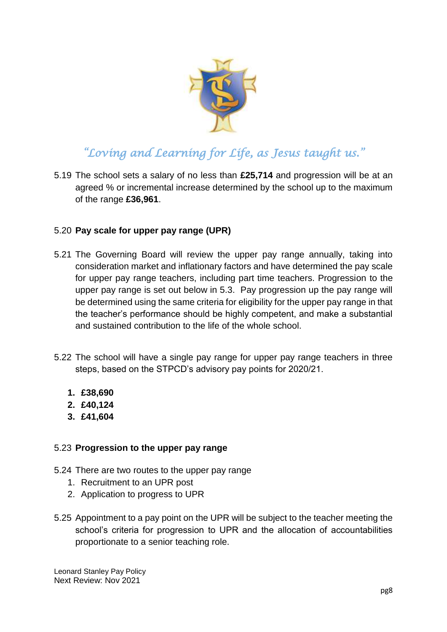

5.19 The school sets a salary of no less than **£25,714** and progression will be at an agreed % or incremental increase determined by the school up to the maximum of the range **£36,961**.

#### 5.20 **Pay scale for upper pay range (UPR)**

- 5.21 The Governing Board will review the upper pay range annually, taking into consideration market and inflationary factors and have determined the pay scale for upper pay range teachers, including part time teachers. Progression to the upper pay range is set out below in 5.3. Pay progression up the pay range will be determined using the same criteria for eligibility for the upper pay range in that the teacher's performance should be highly competent, and make a substantial and sustained contribution to the life of the whole school.
- 5.22 The school will have a single pay range for upper pay range teachers in three steps, based on the STPCD's advisory pay points for 2020/21.
	- **1. £38,690**
	- **2. £40,124**
	- **3. £41,604**

#### 5.23 **Progression to the upper pay range**

5.24 There are two routes to the upper pay range

- 1. Recruitment to an UPR post
- 2. Application to progress to UPR
- 5.25 Appointment to a pay point on the UPR will be subject to the teacher meeting the school's criteria for progression to UPR and the allocation of accountabilities proportionate to a senior teaching role.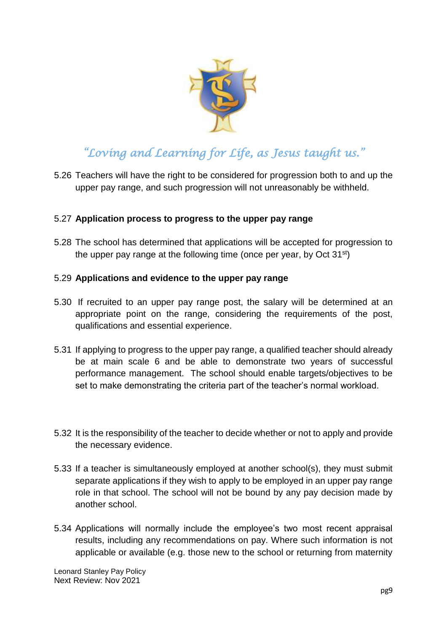

5.26 Teachers will have the right to be considered for progression both to and up the upper pay range, and such progression will not unreasonably be withheld.

#### 5.27 **Application process to progress to the upper pay range**

5.28 The school has determined that applications will be accepted for progression to the upper pay range at the following time (once per year, by Oct  $31<sup>st</sup>$ )

#### 5.29 **Applications and evidence to the upper pay range**

- 5.30 If recruited to an upper pay range post, the salary will be determined at an appropriate point on the range, considering the requirements of the post, qualifications and essential experience.
- 5.31 If applying to progress to the upper pay range, a qualified teacher should already be at main scale 6 and be able to demonstrate two years of successful performance management. The school should enable targets/objectives to be set to make demonstrating the criteria part of the teacher's normal workload.
- 5.32 It is the responsibility of the teacher to decide whether or not to apply and provide the necessary evidence.
- 5.33 If a teacher is simultaneously employed at another school(s), they must submit separate applications if they wish to apply to be employed in an upper pay range role in that school. The school will not be bound by any pay decision made by another school.
- 5.34 Applications will normally include the employee's two most recent appraisal results, including any recommendations on pay. Where such information is not applicable or available (e.g. those new to the school or returning from maternity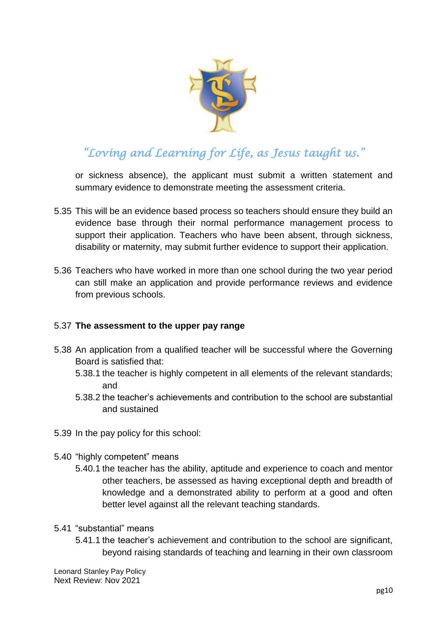

or sickness absence), the applicant must submit a written statement and summary evidence to demonstrate meeting the assessment criteria.

- 5.35 This will be an evidence based process so teachers should ensure they build an evidence base through their normal performance management process to support their application. Teachers who have been absent, through sickness, disability or maternity, may submit further evidence to support their application.
- 5.36 Teachers who have worked in more than one school during the two year period can still make an application and provide performance reviews and evidence from previous schools.

#### 5.37 **The assessment to the upper pay range**

- 5.38 An application from a qualified teacher will be successful where the Governing Board is satisfied that:
	- 5.38.1 the teacher is highly competent in all elements of the relevant standards; and
	- 5.38.2 the teacher's achievements and contribution to the school are substantial and sustained
- 5.39 In the pay policy for this school:
- 5.40 "highly competent" means
	- 5.40.1 the teacher has the ability, aptitude and experience to coach and mentor other teachers, be assessed as having exceptional depth and breadth of knowledge and a demonstrated ability to perform at a good and often better level against all the relevant teaching standards.
- 5.41 "substantial" means
	- 5.41.1 the teacher's achievement and contribution to the school are significant, beyond raising standards of teaching and learning in their own classroom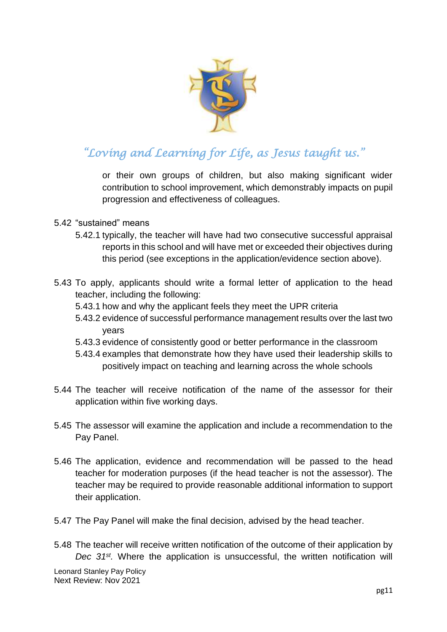

or their own groups of children, but also making significant wider contribution to school improvement, which demonstrably impacts on pupil progression and effectiveness of colleagues.

- 5.42 "sustained" means
	- 5.42.1 typically, the teacher will have had two consecutive successful appraisal reports in this school and will have met or exceeded their objectives during this period (see exceptions in the application/evidence section above).
- 5.43 To apply, applicants should write a formal letter of application to the head teacher, including the following:
	- 5.43.1 how and why the applicant feels they meet the UPR criteria
	- 5.43.2 evidence of successful performance management results over the last two years
	- 5.43.3 evidence of consistently good or better performance in the classroom
	- 5.43.4 examples that demonstrate how they have used their leadership skills to positively impact on teaching and learning across the whole schools
- 5.44 The teacher will receive notification of the name of the assessor for their application within five working days.
- 5.45 The assessor will examine the application and include a recommendation to the Pay Panel.
- 5.46 The application, evidence and recommendation will be passed to the head teacher for moderation purposes (if the head teacher is not the assessor). The teacher may be required to provide reasonable additional information to support their application.
- 5.47 The Pay Panel will make the final decision, advised by the head teacher.
- 5.48 The teacher will receive written notification of the outcome of their application by *Dec 31st .* Where the application is unsuccessful, the written notification will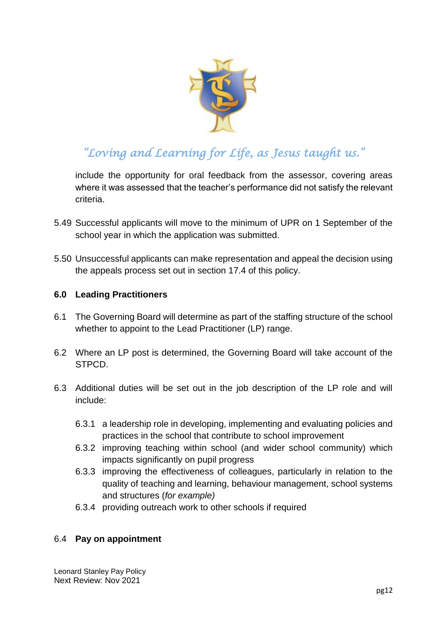

include the opportunity for oral feedback from the assessor, covering areas where it was assessed that the teacher's performance did not satisfy the relevant criteria.

- 5.49 Successful applicants will move to the minimum of UPR on 1 September of the school year in which the application was submitted.
- 5.50 Unsuccessful applicants can make representation and appeal the decision using the appeals process set out in section 17.4 of this policy.

#### <span id="page-11-0"></span>**6.0 Leading Practitioners**

- 6.1 The Governing Board will determine as part of the staffing structure of the school whether to appoint to the Lead Practitioner (LP) range.
- 6.2 Where an LP post is determined, the Governing Board will take account of the STPCD.
- 6.3 Additional duties will be set out in the job description of the LP role and will include:
	- 6.3.1 a leadership role in developing, implementing and evaluating policies and practices in the school that contribute to school improvement
	- 6.3.2 improving teaching within school (and wider school community) which impacts significantly on pupil progress
	- 6.3.3 improving the effectiveness of colleagues, particularly in relation to the quality of teaching and learning, behaviour management, school systems and structures (*for example)*
	- 6.3.4 providing outreach work to other schools if required

#### 6.4 **Pay on appointment**

Leonard Stanley Pay Policy Next Review: Nov 2021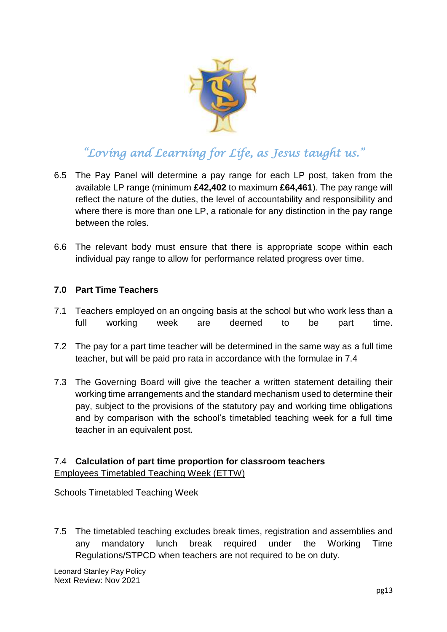

- 6.5 The Pay Panel will determine a pay range for each LP post, taken from the available LP range (minimum **£42,402** to maximum **£64,461**). The pay range will reflect the nature of the duties, the level of accountability and responsibility and where there is more than one LP, a rationale for any distinction in the pay range between the roles.
- 6.6 The relevant body must ensure that there is appropriate scope within each individual pay range to allow for performance related progress over time.

#### <span id="page-12-0"></span>**7.0 Part Time Teachers**

- 7.1 Teachers employed on an ongoing basis at the school but who work less than a full working week are deemed to be part time.
- 7.2 The pay for a part time teacher will be determined in the same way as a full time teacher, but will be paid pro rata in accordance with the formulae in 7.4
- 7.3 The Governing Board will give the teacher a written statement detailing their working time arrangements and the standard mechanism used to determine their pay, subject to the provisions of the statutory pay and working time obligations and by comparison with the school's timetabled teaching week for a full time teacher in an equivalent post.

#### 7.4 **Calculation of part time proportion for classroom teachers** Employees Timetabled Teaching Week (ETTW)

Schools Timetabled Teaching Week

7.5 The timetabled teaching excludes break times, registration and assemblies and any mandatory lunch break required under the Working Time Regulations/STPCD when teachers are not required to be on duty.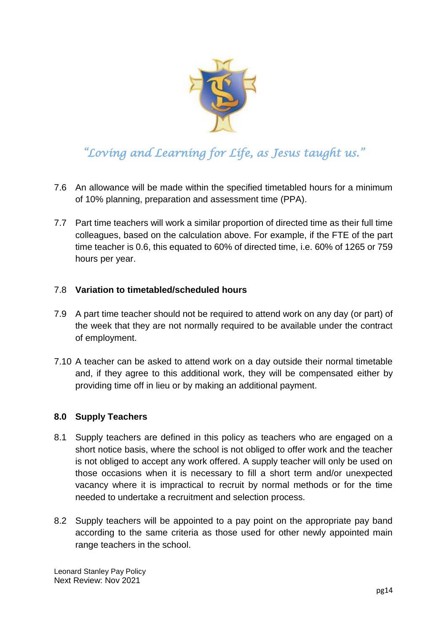

- 7.6 An allowance will be made within the specified timetabled hours for a minimum of 10% planning, preparation and assessment time (PPA).
- 7.7 Part time teachers will work a similar proportion of directed time as their full time colleagues, based on the calculation above. For example, if the FTE of the part time teacher is 0.6, this equated to 60% of directed time, i.e. 60% of 1265 or 759 hours per year.

#### 7.8 **Variation to timetabled/scheduled hours**

- 7.9 A part time teacher should not be required to attend work on any day (or part) of the week that they are not normally required to be available under the contract of employment.
- 7.10 A teacher can be asked to attend work on a day outside their normal timetable and, if they agree to this additional work, they will be compensated either by providing time off in lieu or by making an additional payment.

#### <span id="page-13-0"></span>**8.0 Supply Teachers**

- 8.1 Supply teachers are defined in this policy as teachers who are engaged on a short notice basis, where the school is not obliged to offer work and the teacher is not obliged to accept any work offered. A supply teacher will only be used on those occasions when it is necessary to fill a short term and/or unexpected vacancy where it is impractical to recruit by normal methods or for the time needed to undertake a recruitment and selection process.
- 8.2 Supply teachers will be appointed to a pay point on the appropriate pay band according to the same criteria as those used for other newly appointed main range teachers in the school.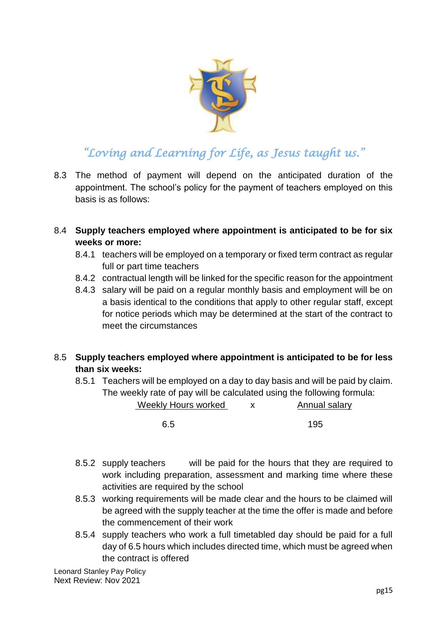

- 8.3 The method of payment will depend on the anticipated duration of the appointment. The school's policy for the payment of teachers employed on this basis is as follows:
- 8.4 **Supply teachers employed where appointment is anticipated to be for six weeks or more:**
	- 8.4.1 teachers will be employed on a temporary or fixed term contract as regular full or part time teachers
	- 8.4.2 contractual length will be linked for the specific reason for the appointment
	- 8.4.3 salary will be paid on a regular monthly basis and employment will be on a basis identical to the conditions that apply to other regular staff, except for notice periods which may be determined at the start of the contract to meet the circumstances
- 8.5 **Supply teachers employed where appointment is anticipated to be for less than six weeks:**
	- 8.5.1 Teachers will be employed on a day to day basis and will be paid by claim. The weekly rate of pay will be calculated using the following formula:

Weekly Hours worked x Annual salary

6.5 195

- 8.5.2 supply teachers will be paid for the hours that they are required to work including preparation, assessment and marking time where these activities are required by the school
- 8.5.3 working requirements will be made clear and the hours to be claimed will be agreed with the supply teacher at the time the offer is made and before the commencement of their work
- 8.5.4 supply teachers who work a full timetabled day should be paid for a full day of 6.5 hours which includes directed time, which must be agreed when the contract is offered

Leonard Stanley Pay Policy Next Review: Nov 2021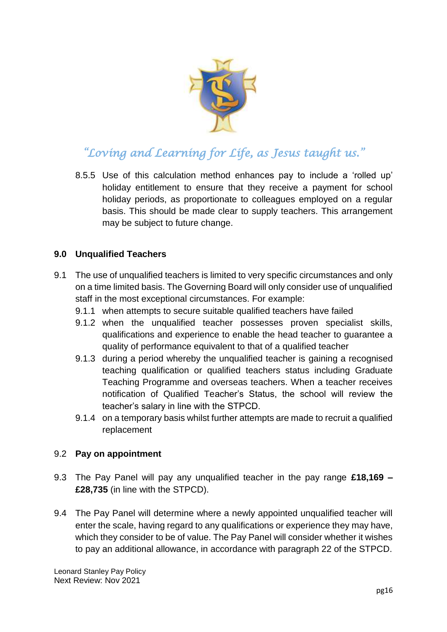

8.5.5 Use of this calculation method enhances pay to include a 'rolled up' holiday entitlement to ensure that they receive a payment for school holiday periods, as proportionate to colleagues employed on a regular basis. This should be made clear to supply teachers. This arrangement may be subject to future change.

### <span id="page-15-0"></span>**9.0 Unqualified Teachers**

- 9.1 The use of unqualified teachers is limited to very specific circumstances and only on a time limited basis. The Governing Board will only consider use of unqualified staff in the most exceptional circumstances. For example:
	- 9.1.1 when attempts to secure suitable qualified teachers have failed
	- 9.1.2 when the unqualified teacher possesses proven specialist skills, qualifications and experience to enable the head teacher to guarantee a quality of performance equivalent to that of a qualified teacher
	- 9.1.3 during a period whereby the unqualified teacher is gaining a recognised teaching qualification or qualified teachers status including Graduate Teaching Programme and overseas teachers. When a teacher receives notification of Qualified Teacher's Status, the school will review the teacher's salary in line with the STPCD.
	- 9.1.4 on a temporary basis whilst further attempts are made to recruit a qualified replacement

#### 9.2 **Pay on appointment**

- 9.3 The Pay Panel will pay any unqualified teacher in the pay range **£18,169 – £28,735** (in line with the STPCD).
- 9.4 The Pay Panel will determine where a newly appointed unqualified teacher will enter the scale, having regard to any qualifications or experience they may have, which they consider to be of value. The Pay Panel will consider whether it wishes to pay an additional allowance, in accordance with paragraph 22 of the STPCD.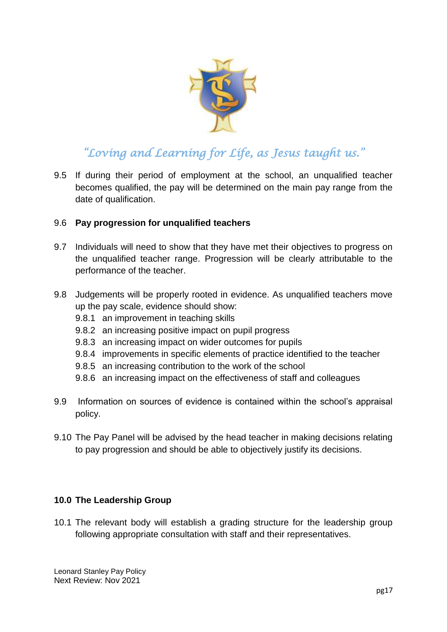

9.5 If during their period of employment at the school, an unqualified teacher becomes qualified, the pay will be determined on the main pay range from the date of qualification.

#### 9.6 **Pay progression for unqualified teachers**

- 9.7 Individuals will need to show that they have met their objectives to progress on the unqualified teacher range. Progression will be clearly attributable to the performance of the teacher.
- 9.8 Judgements will be properly rooted in evidence. As unqualified teachers move up the pay scale, evidence should show:
	- 9.8.1 an improvement in teaching skills
	- 9.8.2 an increasing positive impact on pupil progress
	- 9.8.3 an increasing impact on wider outcomes for pupils
	- 9.8.4 improvements in specific elements of practice identified to the teacher
	- 9.8.5 an increasing contribution to the work of the school
	- 9.8.6 an increasing impact on the effectiveness of staff and colleagues
- 9.9 Information on sources of evidence is contained within the school's appraisal policy.
- 9.10 The Pay Panel will be advised by the head teacher in making decisions relating to pay progression and should be able to objectively justify its decisions.

#### <span id="page-16-0"></span>**10.0 The Leadership Group**

10.1 The relevant body will establish a grading structure for the leadership group following appropriate consultation with staff and their representatives.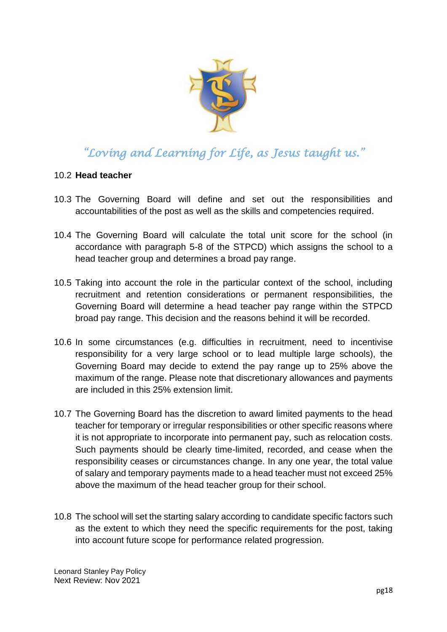

#### 10.2 **Head teacher**

- 10.3 The Governing Board will define and set out the responsibilities and accountabilities of the post as well as the skills and competencies required.
- 10.4 The Governing Board will calculate the total unit score for the school (in accordance with paragraph 5-8 of the STPCD) which assigns the school to a head teacher group and determines a broad pay range.
- 10.5 Taking into account the role in the particular context of the school, including recruitment and retention considerations or permanent responsibilities, the Governing Board will determine a head teacher pay range within the STPCD broad pay range. This decision and the reasons behind it will be recorded.
- 10.6 In some circumstances (e.g. difficulties in recruitment, need to incentivise responsibility for a very large school or to lead multiple large schools), the Governing Board may decide to extend the pay range up to 25% above the maximum of the range. Please note that discretionary allowances and payments are included in this 25% extension limit.
- 10.7 The Governing Board has the discretion to award limited payments to the head teacher for temporary or irregular responsibilities or other specific reasons where it is not appropriate to incorporate into permanent pay, such as relocation costs. Such payments should be clearly time-limited, recorded, and cease when the responsibility ceases or circumstances change. In any one year, the total value of salary and temporary payments made to a head teacher must not exceed 25% above the maximum of the head teacher group for their school.
- 10.8 The school will set the starting salary according to candidate specific factors such as the extent to which they need the specific requirements for the post, taking into account future scope for performance related progression.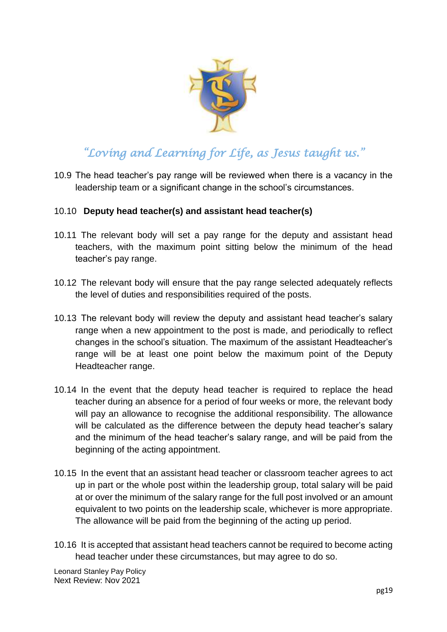

10.9 The head teacher's pay range will be reviewed when there is a vacancy in the leadership team or a significant change in the school's circumstances.

#### 10.10 **Deputy head teacher(s) and assistant head teacher(s)**

- 10.11 The relevant body will set a pay range for the deputy and assistant head teachers, with the maximum point sitting below the minimum of the head teacher's pay range.
- 10.12 The relevant body will ensure that the pay range selected adequately reflects the level of duties and responsibilities required of the posts.
- 10.13 The relevant body will review the deputy and assistant head teacher's salary range when a new appointment to the post is made, and periodically to reflect changes in the school's situation. The maximum of the assistant Headteacher's range will be at least one point below the maximum point of the Deputy Headteacher range.
- 10.14 In the event that the deputy head teacher is required to replace the head teacher during an absence for a period of four weeks or more, the relevant body will pay an allowance to recognise the additional responsibility. The allowance will be calculated as the difference between the deputy head teacher's salary and the minimum of the head teacher's salary range, and will be paid from the beginning of the acting appointment.
- 10.15 In the event that an assistant head teacher or classroom teacher agrees to act up in part or the whole post within the leadership group, total salary will be paid at or over the minimum of the salary range for the full post involved or an amount equivalent to two points on the leadership scale, whichever is more appropriate. The allowance will be paid from the beginning of the acting up period.
- 10.16 It is accepted that assistant head teachers cannot be required to become acting head teacher under these circumstances, but may agree to do so.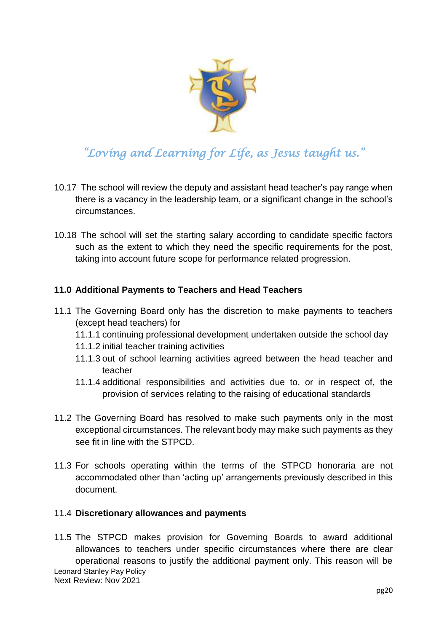

- 10.17 The school will review the deputy and assistant head teacher's pay range when there is a vacancy in the leadership team, or a significant change in the school's circumstances.
- 10.18 The school will set the starting salary according to candidate specific factors such as the extent to which they need the specific requirements for the post, taking into account future scope for performance related progression.

### <span id="page-19-0"></span>**11.0 Additional Payments to Teachers and Head Teachers**

- 11.1 The Governing Board only has the discretion to make payments to teachers (except head teachers) for
	- 11.1.1 continuing professional development undertaken outside the school day
	- 11.1.2 initial teacher training activities
	- 11.1.3 out of school learning activities agreed between the head teacher and teacher
	- 11.1.4 additional responsibilities and activities due to, or in respect of, the provision of services relating to the raising of educational standards
- 11.2 The Governing Board has resolved to make such payments only in the most exceptional circumstances. The relevant body may make such payments as they see fit in line with the STPCD.
- 11.3 For schools operating within the terms of the STPCD honoraria are not accommodated other than 'acting up' arrangements previously described in this document.

#### 11.4 **Discretionary allowances and payments**

Leonard Stanley Pay Policy Next Review: Nov 2021 11.5 The STPCD makes provision for Governing Boards to award additional allowances to teachers under specific circumstances where there are clear operational reasons to justify the additional payment only. This reason will be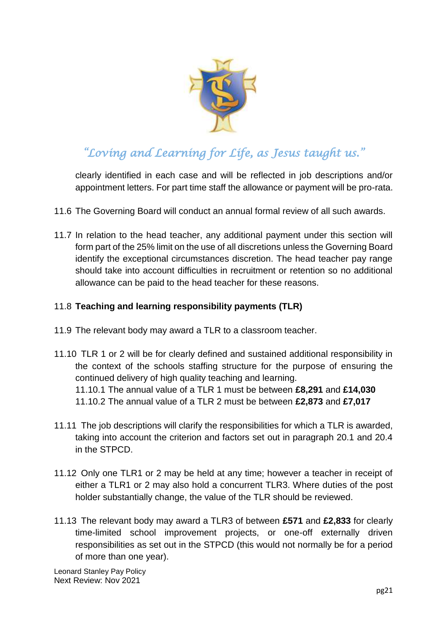

clearly identified in each case and will be reflected in job descriptions and/or appointment letters. For part time staff the allowance or payment will be pro-rata.

- 11.6 The Governing Board will conduct an annual formal review of all such awards.
- 11.7 In relation to the head teacher, any additional payment under this section will form part of the 25% limit on the use of all discretions unless the Governing Board identify the exceptional circumstances discretion. The head teacher pay range should take into account difficulties in recruitment or retention so no additional allowance can be paid to the head teacher for these reasons.

### 11.8 **Teaching and learning responsibility payments (TLR)**

- 11.9 The relevant body may award a TLR to a classroom teacher.
- 11.10 TLR 1 or 2 will be for clearly defined and sustained additional responsibility in the context of the schools staffing structure for the purpose of ensuring the continued delivery of high quality teaching and learning. 11.10.1 The annual value of a TLR 1 must be between **£8,291** and **£14,030** 11.10.2 The annual value of a TLR 2 must be between **£2,873** and **£7,017**
- 11.11 The job descriptions will clarify the responsibilities for which a TLR is awarded, taking into account the criterion and factors set out in paragraph 20.1 and 20.4 in the STPCD.
- 11.12 Only one TLR1 or 2 may be held at any time; however a teacher in receipt of either a TLR1 or 2 may also hold a concurrent TLR3. Where duties of the post holder substantially change, the value of the TLR should be reviewed.
- 11.13 The relevant body may award a TLR3 of between **£571** and **£2,833** for clearly time-limited school improvement projects, or one-off externally driven responsibilities as set out in the STPCD (this would not normally be for a period of more than one year).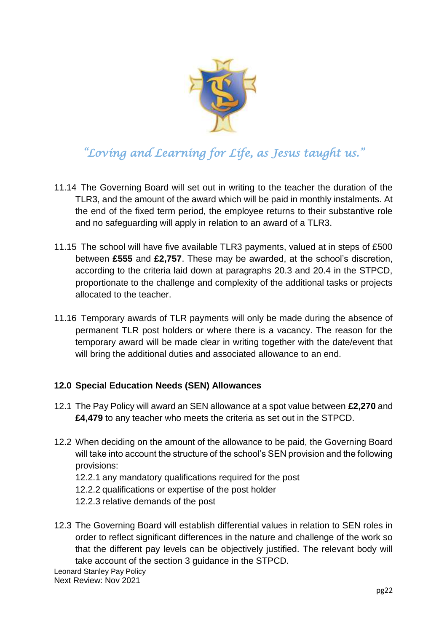

- 11.14 The Governing Board will set out in writing to the teacher the duration of the TLR3, and the amount of the award which will be paid in monthly instalments. At the end of the fixed term period, the employee returns to their substantive role and no safeguarding will apply in relation to an award of a TLR3.
- 11.15 The school will have five available TLR3 payments, valued at in steps of £500 between **£555** and **£2,757**. These may be awarded, at the school's discretion, according to the criteria laid down at paragraphs 20.3 and 20.4 in the STPCD, proportionate to the challenge and complexity of the additional tasks or projects allocated to the teacher.
- 11.16 Temporary awards of TLR payments will only be made during the absence of permanent TLR post holders or where there is a vacancy. The reason for the temporary award will be made clear in writing together with the date/event that will bring the additional duties and associated allowance to an end.

### <span id="page-21-0"></span>**12.0 Special Education Needs (SEN) Allowances**

- 12.1 The Pay Policy will award an SEN allowance at a spot value between **£2,270** and **£4,479** to any teacher who meets the criteria as set out in the STPCD.
- 12.2 When deciding on the amount of the allowance to be paid, the Governing Board will take into account the structure of the school's SEN provision and the following provisions:
	- 12.2.1 any mandatory qualifications required for the post
	- 12.2.2 qualifications or expertise of the post holder
	- 12.2.3 relative demands of the post
- 12.3 The Governing Board will establish differential values in relation to SEN roles in order to reflect significant differences in the nature and challenge of the work so that the different pay levels can be objectively justified. The relevant body will take account of the section 3 guidance in the STPCD.

Leonard Stanley Pay Policy Next Review: Nov 2021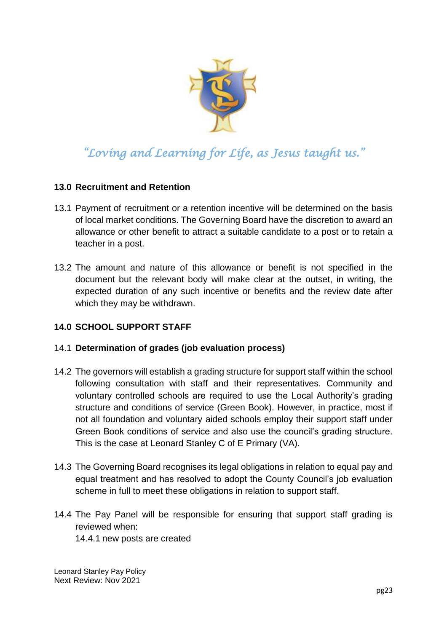

### <span id="page-22-0"></span>**13.0 Recruitment and Retention**

- 13.1 Payment of recruitment or a retention incentive will be determined on the basis of local market conditions. The Governing Board have the discretion to award an allowance or other benefit to attract a suitable candidate to a post or to retain a teacher in a post.
- 13.2 The amount and nature of this allowance or benefit is not specified in the document but the relevant body will make clear at the outset, in writing, the expected duration of any such incentive or benefits and the review date after which they may be withdrawn.

### **14.0 SCHOOL SUPPORT STAFF**

#### 14.1 **Determination of grades (job evaluation process)**

- 14.2 The governors will establish a grading structure for support staff within the school following consultation with staff and their representatives. Community and voluntary controlled schools are required to use the Local Authority's grading structure and conditions of service (Green Book). However, in practice, most if not all foundation and voluntary aided schools employ their support staff under Green Book conditions of service and also use the council's grading structure. This is the case at Leonard Stanley C of E Primary (VA).
- 14.3 The Governing Board recognises its legal obligations in relation to equal pay and equal treatment and has resolved to adopt the County Council's job evaluation scheme in full to meet these obligations in relation to support staff.
- 14.4 The Pay Panel will be responsible for ensuring that support staff grading is reviewed when:
	- 14.4.1 new posts are created

Leonard Stanley Pay Policy Next Review: Nov 2021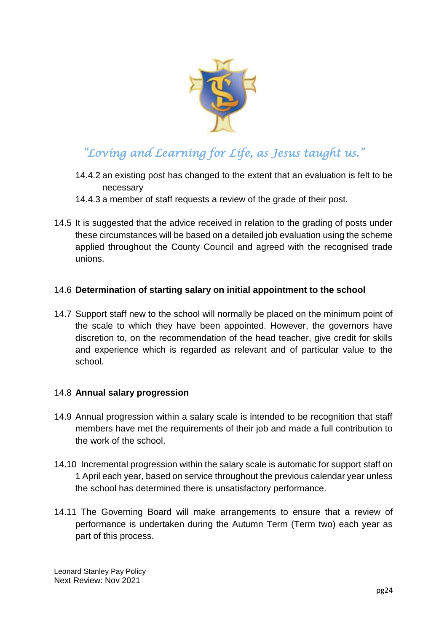

- 14.4.2 an existing post has changed to the extent that an evaluation is felt to be necessary
- 14.4.3 a member of staff requests a review of the grade of their post.
- 14.5 It is suggested that the advice received in relation to the grading of posts under these circumstances will be based on a detailed job evaluation using the scheme applied throughout the County Council and agreed with the recognised trade unions.

#### 14.6 **Determination of starting salary on initial appointment to the school**

14.7 Support staff new to the school will normally be placed on the minimum point of the scale to which they have been appointed. However, the governors have discretion to, on the recommendation of the head teacher, give credit for skills and experience which is regarded as relevant and of particular value to the school.

#### 14.8 **Annual salary progression**

- 14.9 Annual progression within a salary scale is intended to be recognition that staff members have met the requirements of their job and made a full contribution to the work of the school.
- 14.10 Incremental progression within the salary scale is automatic for support staff on 1 April each year, based on service throughout the previous calendar year unless the school has determined there is unsatisfactory performance.
- 14.11 The Governing Board will make arrangements to ensure that a review of performance is undertaken during the Autumn Term (Term two) each year as part of this process.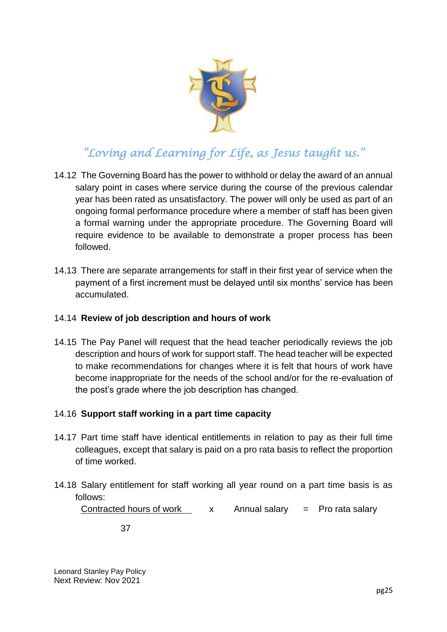

- 14.12 The Governing Board has the power to withhold or delay the award of an annual salary point in cases where service during the course of the previous calendar year has been rated as unsatisfactory. The power will only be used as part of an ongoing formal performance procedure where a member of staff has been given a formal warning under the appropriate procedure. The Governing Board will require evidence to be available to demonstrate a proper process has been followed.
- 14.13 There are separate arrangements for staff in their first year of service when the payment of a first increment must be delayed until six months' service has been accumulated.

#### 14.14 **Review of job description and hours of work**

14.15 The Pay Panel will request that the head teacher periodically reviews the job description and hours of work for support staff. The head teacher will be expected to make recommendations for changes where it is felt that hours of work have become inappropriate for the needs of the school and/or for the re-evaluation of the post's grade where the job description has changed.

#### 14.16 **Support staff working in a part time capacity**

- 14.17 Part time staff have identical entitlements in relation to pay as their full time colleagues, except that salary is paid on a pro rata basis to reflect the proportion of time worked.
- 14.18 Salary entitlement for staff working all year round on a part time basis is as follows:

Contracted hours of work  $\begin{array}{ccc} x & A$ nnual salary = Pro rata salary

37

Leonard Stanley Pay Policy Next Review: Nov 2021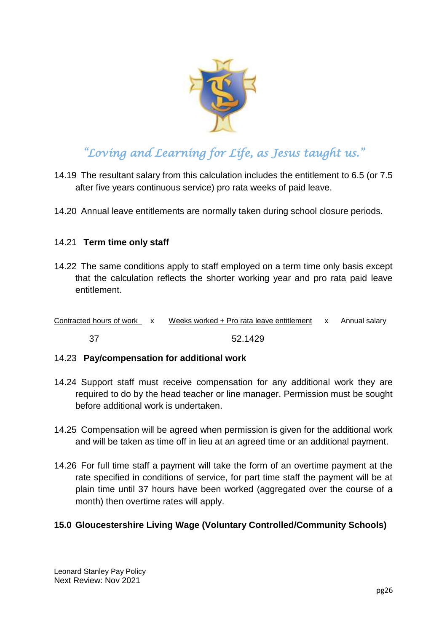

- 14.19 The resultant salary from this calculation includes the entitlement to 6.5 (or 7.5 after five years continuous service) pro rata weeks of paid leave.
- 14.20 Annual leave entitlements are normally taken during school closure periods.

#### 14.21 **Term time only staff**

14.22 The same conditions apply to staff employed on a term time only basis except that the calculation reflects the shorter working year and pro rata paid leave entitlement.

| Contracted hours of work x |  | Weeks worked + Pro rata leave entitlement x Annual salary |  |  |
|----------------------------|--|-----------------------------------------------------------|--|--|
|----------------------------|--|-----------------------------------------------------------|--|--|

37 52.1429

#### 14.23 **Pay/compensation for additional work**

- 14.24 Support staff must receive compensation for any additional work they are required to do by the head teacher or line manager. Permission must be sought before additional work is undertaken.
- 14.25 Compensation will be agreed when permission is given for the additional work and will be taken as time off in lieu at an agreed time or an additional payment.
- 14.26 For full time staff a payment will take the form of an overtime payment at the rate specified in conditions of service, for part time staff the payment will be at plain time until 37 hours have been worked (aggregated over the course of a month) then overtime rates will apply.

#### <span id="page-25-0"></span>**15.0 Gloucestershire Living Wage (Voluntary Controlled/Community Schools)**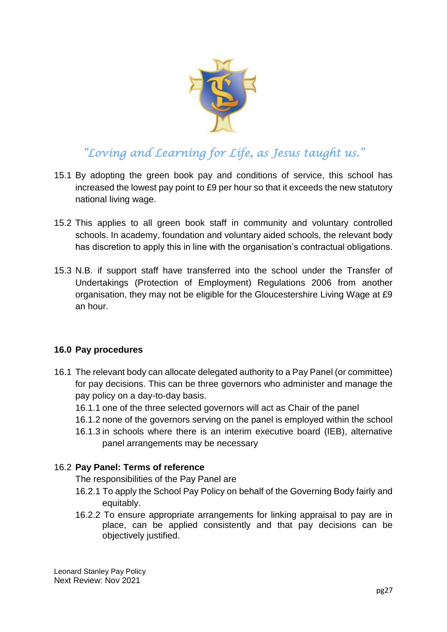

- 15.1 By adopting the green book pay and conditions of service, this school has increased the lowest pay point to £9 per hour so that it exceeds the new statutory national living wage.
- 15.2 This applies to all green book staff in community and voluntary controlled schools. In academy, foundation and voluntary aided schools, the relevant body has discretion to apply this in line with the organisation's contractual obligations.
- 15.3 N.B. if support staff have transferred into the school under the Transfer of Undertakings (Protection of Employment) Regulations 2006 from another organisation, they may not be eligible for the Gloucestershire Living Wage at £9 an hour.

#### <span id="page-26-0"></span>**16.0 Pay procedures**

- 16.1 The relevant body can allocate delegated authority to a Pay Panel (or committee) for pay decisions. This can be three governors who administer and manage the pay policy on a day-to-day basis.
	- 16.1.1 one of the three selected governors will act as Chair of the panel
	- 16.1.2 none of the governors serving on the panel is employed within the school
	- 16.1.3 in schools where there is an interim executive board (IEB), alternative panel arrangements may be necessary

#### 16.2 **Pay Panel: Terms of reference**

The responsibilities of the Pay Panel are

- 16.2.1 To apply the School Pay Policy on behalf of the Governing Body fairly and equitably.
- 16.2.2 To ensure appropriate arrangements for linking appraisal to pay are in place, can be applied consistently and that pay decisions can be objectively justified.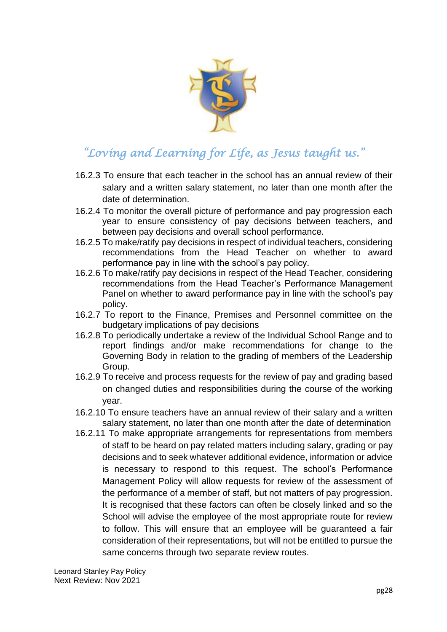

- 16.2.3 To ensure that each teacher in the school has an annual review of their salary and a written salary statement, no later than one month after the date of determination.
- 16.2.4 To monitor the overall picture of performance and pay progression each year to ensure consistency of pay decisions between teachers, and between pay decisions and overall school performance.
- 16.2.5 To make/ratify pay decisions in respect of individual teachers, considering recommendations from the Head Teacher on whether to award performance pay in line with the school's pay policy.
- 16.2.6 To make/ratify pay decisions in respect of the Head Teacher, considering recommendations from the Head Teacher's Performance Management Panel on whether to award performance pay in line with the school's pay policy.
- 16.2.7 To report to the Finance, Premises and Personnel committee on the budgetary implications of pay decisions
- 16.2.8 To periodically undertake a review of the Individual School Range and to report findings and/or make recommendations for change to the Governing Body in relation to the grading of members of the Leadership Group.
- 16.2.9 To receive and process requests for the review of pay and grading based on changed duties and responsibilities during the course of the working year.
- 16.2.10 To ensure teachers have an annual review of their salary and a written salary statement, no later than one month after the date of determination
- 16.2.11 To make appropriate arrangements for representations from members of staff to be heard on pay related matters including salary, grading or pay decisions and to seek whatever additional evidence, information or advice is necessary to respond to this request. The school's Performance Management Policy will allow requests for review of the assessment of the performance of a member of staff, but not matters of pay progression. It is recognised that these factors can often be closely linked and so the School will advise the employee of the most appropriate route for review to follow. This will ensure that an employee will be guaranteed a fair consideration of their representations, but will not be entitled to pursue the same concerns through two separate review routes.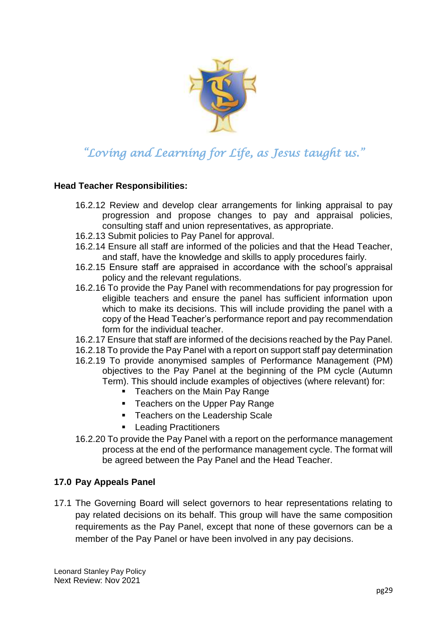

#### **Head Teacher Responsibilities:**

- 16.2.12 Review and develop clear arrangements for linking appraisal to pay progression and propose changes to pay and appraisal policies, consulting staff and union representatives, as appropriate.
- 16.2.13 Submit policies to Pay Panel for approval.
- 16.2.14 Ensure all staff are informed of the policies and that the Head Teacher, and staff, have the knowledge and skills to apply procedures fairly.
- 16.2.15 Ensure staff are appraised in accordance with the school's appraisal policy and the relevant regulations.
- 16.2.16 To provide the Pay Panel with recommendations for pay progression for eligible teachers and ensure the panel has sufficient information upon which to make its decisions. This will include providing the panel with a copy of the Head Teacher's performance report and pay recommendation form for the individual teacher.
- 16.2.17 Ensure that staff are informed of the decisions reached by the Pay Panel.
- 16.2.18 To provide the Pay Panel with a report on support staff pay determination
- 16.2.19 To provide anonymised samples of Performance Management (PM) objectives to the Pay Panel at the beginning of the PM cycle (Autumn Term). This should include examples of objectives (where relevant) for:
	- **F** Teachers on the Main Pay Range
	- Teachers on the Upper Pay Range
	- **Teachers on the Leadership Scale**
	- **Leading Practitioners**
- 16.2.20 To provide the Pay Panel with a report on the performance management process at the end of the performance management cycle. The format will be agreed between the Pay Panel and the Head Teacher.

#### <span id="page-28-0"></span>**17.0 Pay Appeals Panel**

17.1 The Governing Board will select governors to hear representations relating to pay related decisions on its behalf. This group will have the same composition requirements as the Pay Panel, except that none of these governors can be a member of the Pay Panel or have been involved in any pay decisions.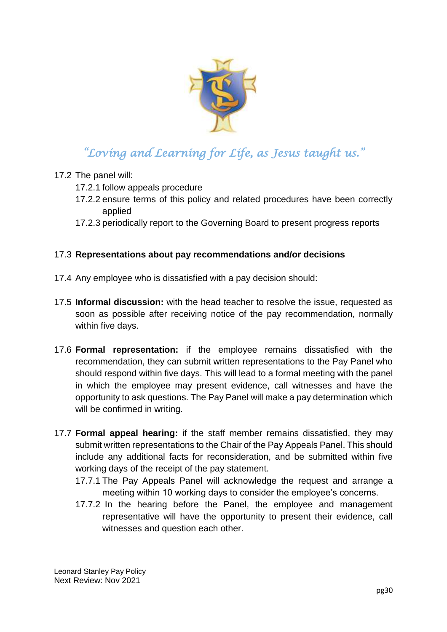

### 17.2 The panel will:

- 17.2.1 follow appeals procedure
- 17.2.2 ensure terms of this policy and related procedures have been correctly applied
- 17.2.3 periodically report to the Governing Board to present progress reports

### 17.3 **Representations about pay recommendations and/or decisions**

- 17.4 Any employee who is dissatisfied with a pay decision should:
- 17.5 **Informal discussion:** with the head teacher to resolve the issue, requested as soon as possible after receiving notice of the pay recommendation, normally within five days.
- 17.6 **Formal representation:** if the employee remains dissatisfied with the recommendation, they can submit written representations to the Pay Panel who should respond within five days. This will lead to a formal meeting with the panel in which the employee may present evidence, call witnesses and have the opportunity to ask questions. The Pay Panel will make a pay determination which will be confirmed in writing.
- 17.7 **Formal appeal hearing:** if the staff member remains dissatisfied, they may submit written representations to the Chair of the Pay Appeals Panel. This should include any additional facts for reconsideration, and be submitted within five working days of the receipt of the pay statement.
	- 17.7.1 The Pay Appeals Panel will acknowledge the request and arrange a meeting within 10 working days to consider the employee's concerns.
	- 17.7.2 In the hearing before the Panel, the employee and management representative will have the opportunity to present their evidence, call witnesses and question each other.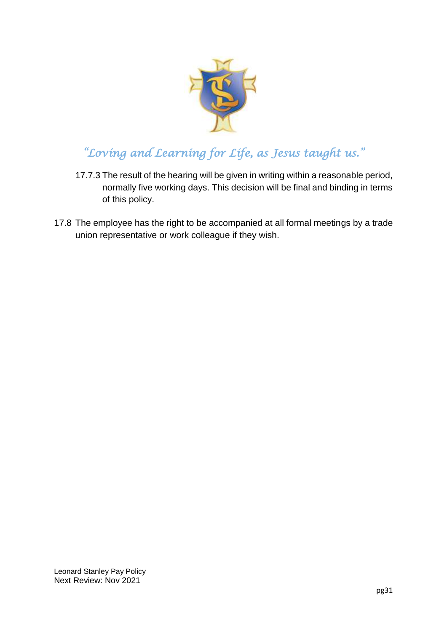

- 17.7.3 The result of the hearing will be given in writing within a reasonable period, normally five working days. This decision will be final and binding in terms of this policy.
- 17.8 The employee has the right to be accompanied at all formal meetings by a trade union representative or work colleague if they wish.